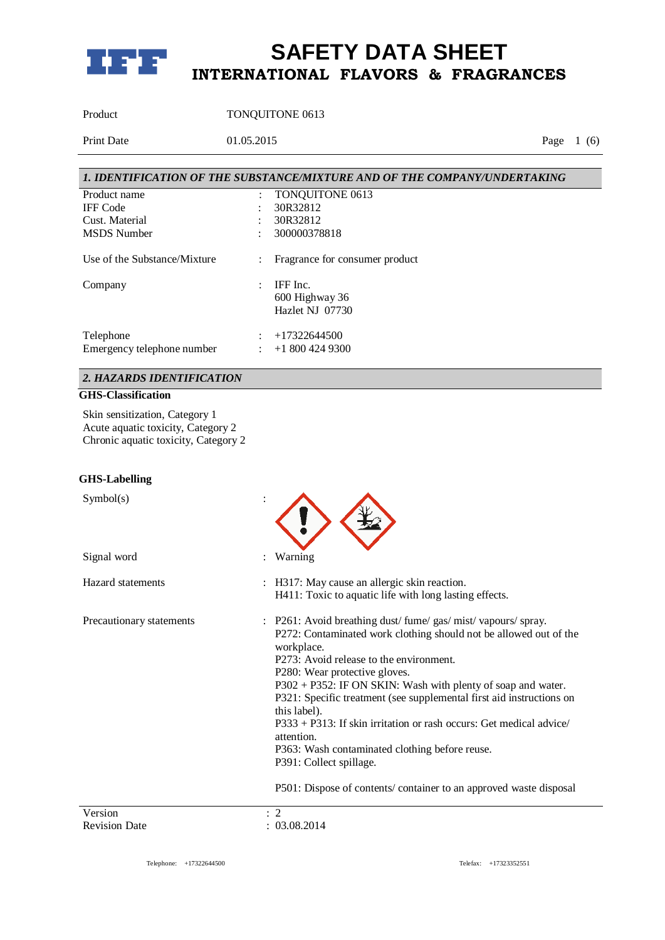

Product TONQUITONE 0613

Print Date 01.05.2015 Page 1 (6)

|                              |                      | 1. IDENTIFICATION OF THE SUBSTANCE/MIXTURE AND OF THE COMPANY/UNDERTAKING |
|------------------------------|----------------------|---------------------------------------------------------------------------|
| Product name                 | $\ddot{\cdot}$       | TONQUITONE 0613                                                           |
| <b>IFF</b> Code              |                      | 30R32812                                                                  |
| Cust. Material               |                      | 30R32812                                                                  |
| <b>MSDS</b> Number           | ٠                    | 300000378818                                                              |
| Use of the Substance/Mixture | $\ddot{\phantom{a}}$ | Fragrance for consumer product                                            |
| Company                      | $\ddot{\phantom{a}}$ | IFF Inc.                                                                  |
|                              |                      | 600 Highway 36                                                            |
|                              |                      | Hazlet NJ 07730                                                           |
| Telephone                    | ٠                    | $+17322644500$                                                            |
| Emergency telephone number   | ÷                    | $+18004249300$                                                            |

## *2. HAZARDS IDENTIFICATION*

### **GHS-Classification**

Skin sensitization, Category 1 Acute aquatic toxicity, Category 2 Chronic aquatic toxicity, Category 2

#### **GHS-Labelling**

| Symbol(s)                |                                                                                                                                                                                                                                                                                                                                                                                                                                                                                                                                                                                                                          |
|--------------------------|--------------------------------------------------------------------------------------------------------------------------------------------------------------------------------------------------------------------------------------------------------------------------------------------------------------------------------------------------------------------------------------------------------------------------------------------------------------------------------------------------------------------------------------------------------------------------------------------------------------------------|
| Signal word              | Warning                                                                                                                                                                                                                                                                                                                                                                                                                                                                                                                                                                                                                  |
| <b>Hazard</b> statements | : H317: May cause an allergic skin reaction.<br>H411: Toxic to aquatic life with long lasting effects.                                                                                                                                                                                                                                                                                                                                                                                                                                                                                                                   |
| Precautionary statements | P261: Avoid breathing dust/fume/gas/mist/vapours/spray.<br>P272: Contaminated work clothing should not be allowed out of the<br>workplace.<br>P273: Avoid release to the environment.<br>P280: Wear protective gloves.<br>P302 + P352: IF ON SKIN: Wash with plenty of soap and water.<br>P321: Specific treatment (see supplemental first aid instructions on<br>this label).<br>$P333 + P313$ : If skin irritation or rash occurs: Get medical advice/<br>attention.<br>P363: Wash contaminated clothing before reuse.<br>P391: Collect spillage.<br>P501: Dispose of contents/container to an approved waste disposal |
| Version                  | $\overline{2}$                                                                                                                                                                                                                                                                                                                                                                                                                                                                                                                                                                                                           |
| <b>Revision Date</b>     | 03.08.2014                                                                                                                                                                                                                                                                                                                                                                                                                                                                                                                                                                                                               |

Revision Date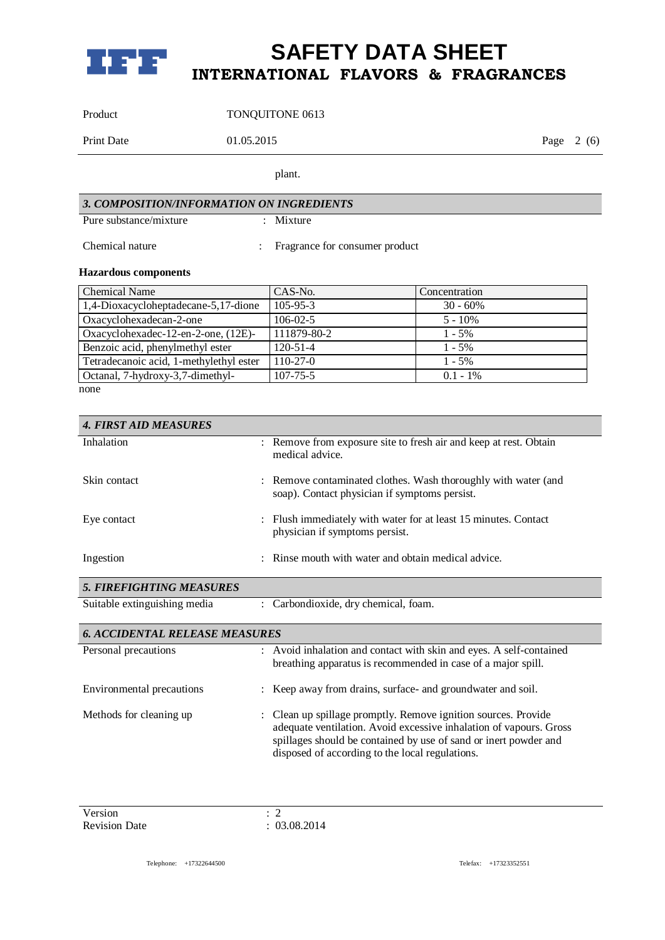

Product TONQUITONE 0613

Print Date 01.05.2015 Page 2 (6)

plant.

| 3. COMPOSITION/INFORMATION ON INGREDIENTS |  |                                  |
|-------------------------------------------|--|----------------------------------|
| Pure substance/mixture                    |  | : Mixture                        |
| Chemical nature                           |  | : Fragrance for consumer product |

### **Hazardous components**

| <b>Chemical Name</b>                    | CAS-No.        | Concentration |
|-----------------------------------------|----------------|---------------|
| 1,4-Dioxacycloheptadecane-5,17-dione    | $105 - 95 - 3$ | $30 - 60\%$   |
| Oxacyclohexadecan-2-one                 | $106 - 02 - 5$ | $5 - 10\%$    |
| Oxacyclohexadec-12-en-2-one, (12E)-     | 111879-80-2    | $1 - 5\%$     |
| Benzoic acid, phenylmethyl ester        | $120 - 51 - 4$ | $1 - 5\%$     |
| Tetradecanoic acid, 1-methylethyl ester | $110-27-0$     | $1 - 5\%$     |
| Octanal, 7-hydroxy-3,7-dimethyl-        | $107 - 75 - 5$ | $0.1 - 1\%$   |

none

| <b>4. FIRST AID MEASURES</b>          |                                                                                                                                     |
|---------------------------------------|-------------------------------------------------------------------------------------------------------------------------------------|
| Inhalation                            | : Remove from exposure site to fresh air and keep at rest. Obtain<br>medical advice.                                                |
| Skin contact                          | Remove contaminated clothes. Wash thoroughly with water (and<br>soap). Contact physician if symptoms persist.                       |
| Eye contact                           | Flush immediately with water for at least 15 minutes. Contact<br>physician if symptoms persist.                                     |
| Ingestion                             | Rinse mouth with water and obtain medical advice.                                                                                   |
| <b>5. FIREFIGHTING MEASURES</b>       |                                                                                                                                     |
| Suitable extinguishing media          | : Carbondioxide, dry chemical, foam.                                                                                                |
| <b>6. ACCIDENTAL RELEASE MEASURES</b> |                                                                                                                                     |
| Personal precautions                  | : Avoid inhalation and contact with skin and eyes. A self-contained<br>breathing apparatus is recommended in case of a major spill. |
| Environmental precautions             | : Keep away from drains, surface- and groundwater and soil.                                                                         |
| Methods for cleaning up               | Clean up spillage promptly. Remove ignition sources. Provide                                                                        |

Version : 2<br>Revision Date : 0

 $: 03.08.2014$ 

spillages should be contained by use of sand or inert powder and

disposed of according to the local regulations.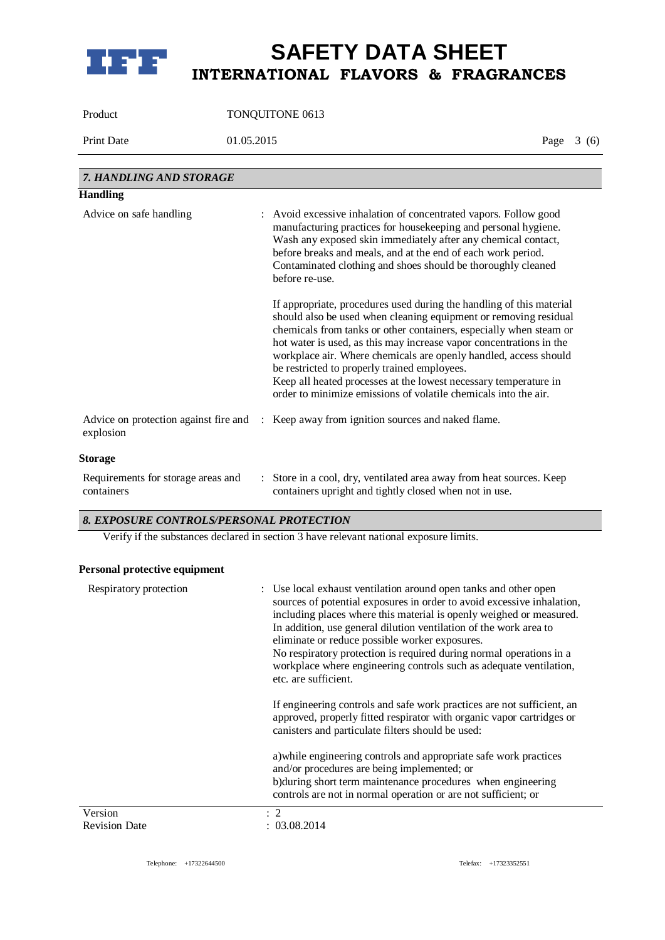

Product TONQUITONE 0613

Print Date 01.05.2015 Page 3 (6)

| 7. HANDLING AND STORAGE                            |                                                                                                                                                                                                                                                                                                                                                                                                                                                                                                                                                  |
|----------------------------------------------------|--------------------------------------------------------------------------------------------------------------------------------------------------------------------------------------------------------------------------------------------------------------------------------------------------------------------------------------------------------------------------------------------------------------------------------------------------------------------------------------------------------------------------------------------------|
| <b>Handling</b>                                    |                                                                                                                                                                                                                                                                                                                                                                                                                                                                                                                                                  |
| Advice on safe handling                            | : Avoid excessive inhalation of concentrated vapors. Follow good<br>manufacturing practices for housekeeping and personal hygiene.<br>Wash any exposed skin immediately after any chemical contact,<br>before breaks and meals, and at the end of each work period.<br>Contaminated clothing and shoes should be thoroughly cleaned<br>before re-use.                                                                                                                                                                                            |
|                                                    | If appropriate, procedures used during the handling of this material<br>should also be used when cleaning equipment or removing residual<br>chemicals from tanks or other containers, especially when steam or<br>hot water is used, as this may increase vapor concentrations in the<br>workplace air. Where chemicals are openly handled, access should<br>be restricted to properly trained employees.<br>Keep all heated processes at the lowest necessary temperature in<br>order to minimize emissions of volatile chemicals into the air. |
| Advice on protection against fire and<br>explosion | : Keep away from ignition sources and naked flame.                                                                                                                                                                                                                                                                                                                                                                                                                                                                                               |
| <b>Storage</b>                                     |                                                                                                                                                                                                                                                                                                                                                                                                                                                                                                                                                  |
| Requirements for storage areas and<br>containers   | : Store in a cool, dry, ventilated area away from heat sources. Keep<br>containers upright and tightly closed when not in use.                                                                                                                                                                                                                                                                                                                                                                                                                   |

### *8. EXPOSURE CONTROLS/PERSONAL PROTECTION*

Verify if the substances declared in section 3 have relevant national exposure limits.

### **Personal protective equipment**

| Respiratory protection | : Use local exhaust ventilation around open tanks and other open<br>sources of potential exposures in order to avoid excessive inhalation,<br>including places where this material is openly weighed or measured.<br>In addition, use general dilution ventilation of the work area to<br>eliminate or reduce possible worker exposures.<br>No respiratory protection is required during normal operations in a<br>workplace where engineering controls such as adequate ventilation,<br>etc. are sufficient. |
|------------------------|---------------------------------------------------------------------------------------------------------------------------------------------------------------------------------------------------------------------------------------------------------------------------------------------------------------------------------------------------------------------------------------------------------------------------------------------------------------------------------------------------------------|
|                        | If engineering controls and safe work practices are not sufficient, an<br>approved, properly fitted respirator with organic vapor cartridges or<br>canisters and particulate filters should be used:                                                                                                                                                                                                                                                                                                          |
|                        | a) while engineering controls and appropriate safe work practices<br>and/or procedures are being implemented; or<br>b) during short term maintenance procedures when engineering<br>controls are not in normal operation or are not sufficient; or                                                                                                                                                                                                                                                            |
| Version                | $\cdot$ 2                                                                                                                                                                                                                                                                                                                                                                                                                                                                                                     |
| <b>Revision Date</b>   | : 03.08.2014                                                                                                                                                                                                                                                                                                                                                                                                                                                                                                  |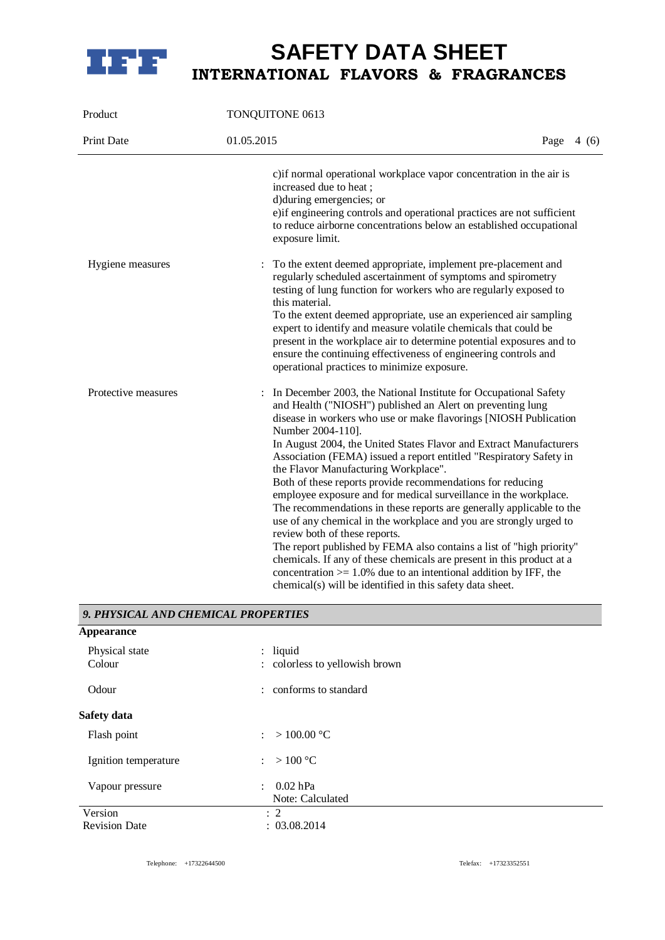

| Product             | TONQUITONE 0613                                                                                                                                                                                                                                                                                                                                                                                                                                                                                                                                                                                                                                                                                                                                                                                                                                                                                                                                                                                                    |  |  |             |
|---------------------|--------------------------------------------------------------------------------------------------------------------------------------------------------------------------------------------------------------------------------------------------------------------------------------------------------------------------------------------------------------------------------------------------------------------------------------------------------------------------------------------------------------------------------------------------------------------------------------------------------------------------------------------------------------------------------------------------------------------------------------------------------------------------------------------------------------------------------------------------------------------------------------------------------------------------------------------------------------------------------------------------------------------|--|--|-------------|
| Print Date          | 01.05.2015                                                                                                                                                                                                                                                                                                                                                                                                                                                                                                                                                                                                                                                                                                                                                                                                                                                                                                                                                                                                         |  |  | Page $4(6)$ |
|                     | c) if normal operational workplace vapor concentration in the air is<br>increased due to heat;<br>d)during emergencies; or<br>e)if engineering controls and operational practices are not sufficient<br>to reduce airborne concentrations below an established occupational<br>exposure limit.                                                                                                                                                                                                                                                                                                                                                                                                                                                                                                                                                                                                                                                                                                                     |  |  |             |
| Hygiene measures    | To the extent deemed appropriate, implement pre-placement and<br>$\ddot{\cdot}$<br>regularly scheduled ascertainment of symptoms and spirometry<br>testing of lung function for workers who are regularly exposed to<br>this material.<br>To the extent deemed appropriate, use an experienced air sampling<br>expert to identify and measure volatile chemicals that could be<br>present in the workplace air to determine potential exposures and to<br>ensure the continuing effectiveness of engineering controls and<br>operational practices to minimize exposure.                                                                                                                                                                                                                                                                                                                                                                                                                                           |  |  |             |
| Protective measures | In December 2003, the National Institute for Occupational Safety<br>and Health ("NIOSH") published an Alert on preventing lung<br>disease in workers who use or make flavorings [NIOSH Publication<br>Number 2004-110].<br>In August 2004, the United States Flavor and Extract Manufacturers<br>Association (FEMA) issued a report entitled "Respiratory Safety in<br>the Flavor Manufacturing Workplace".<br>Both of these reports provide recommendations for reducing<br>employee exposure and for medical surveillance in the workplace.<br>The recommendations in these reports are generally applicable to the<br>use of any chemical in the workplace and you are strongly urged to<br>review both of these reports.<br>The report published by FEMA also contains a list of "high priority"<br>chemicals. If any of these chemicals are present in this product at a<br>concentration $> = 1.0\%$ due to an intentional addition by IFF, the<br>chemical(s) will be identified in this safety data sheet. |  |  |             |

### *9. PHYSICAL AND CHEMICAL PROPERTIES*

| Appearance               |                                               |
|--------------------------|-----------------------------------------------|
| Physical state<br>Colour | : liquid<br>: colorless to yellowish brown    |
| Odour                    | : conforms to standard                        |
| <b>Safety data</b>       |                                               |
| Flash point              | : > 100.00 °C                                 |
| Ignition temperature     | : $>100 °C$                                   |
| Vapour pressure          | 0.02 hPa<br>$\mathcal{L}$<br>Note: Calculated |
| Version                  | $\therefore$ 2                                |
| <b>Revision Date</b>     | : 03.08.2014                                  |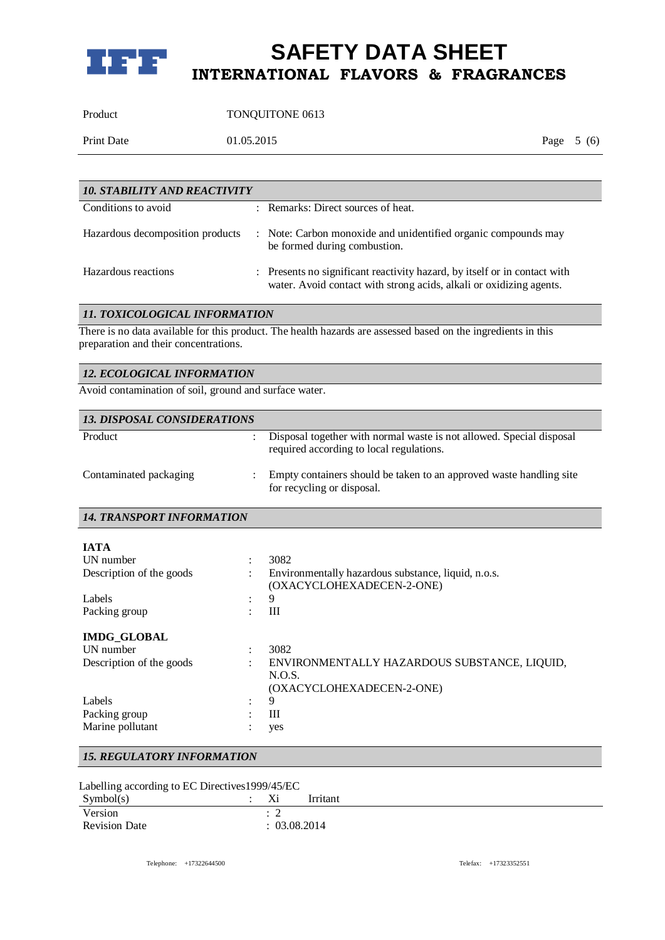

Product TONQUITONE 0613

Print Date 01.05.2015 Page 5 (6)

| <b>10. STABILITY AND REACTIVITY</b> |  |                                                                                                                                                  |  |
|-------------------------------------|--|--------------------------------------------------------------------------------------------------------------------------------------------------|--|
| Conditions to avoid                 |  | : Remarks: Direct sources of heat.                                                                                                               |  |
| Hazardous decomposition products    |  | : Note: Carbon monoxide and unidentified organic compounds may<br>be formed during combustion.                                                   |  |
| Hazardous reactions                 |  | : Presents no significant reactivity hazard, by itself or in contact with<br>water. Avoid contact with strong acids, alkali or oxidizing agents. |  |

### *11. TOXICOLOGICAL INFORMATION*

There is no data available for this product. The health hazards are assessed based on the ingredients in this preparation and their concentrations.

| 12. ECOLOGICAL INFORMATION |
|----------------------------|
|----------------------------|

Avoid contamination of soil, ground and surface water.

| <b>13. DISPOSAL CONSIDERATIONS</b> |                                                                                                                  |
|------------------------------------|------------------------------------------------------------------------------------------------------------------|
| Product                            | Disposal together with normal waste is not allowed. Special disposal<br>required according to local regulations. |
| Contaminated packaging             | Empty containers should be taken to an approved waste handling site<br>for recycling or disposal.                |
| <b>14. TRANSPORT INFORMATION</b>   |                                                                                                                  |
| <b>IATA</b>                        |                                                                                                                  |
| UN number                          | 3082                                                                                                             |
| Description of the goods           | Environmentally hazardous substance, liquid, n.o.s.<br>(OXACYCLOHEXADECEN-2-ONE)                                 |
| Labels                             | 9                                                                                                                |
| Packing group                      | Ш                                                                                                                |
| <b>IMDG GLOBAL</b>                 |                                                                                                                  |
| <b>IJN</b> number                  | 3082                                                                                                             |
| Description of the goods           | ENVIRONMENTALLY HAZARDOUS SUBSTANCE, LIQUID,<br>N.O.S.<br>(OXACYCLOHEXADECEN-2-ONE)                              |
| Labels                             | 9                                                                                                                |
| Packing group                      | Ш                                                                                                                |
| Marine pollutant                   | yes                                                                                                              |

### *15. REGULATORY INFORMATION*

|  |  |  | Labelling according to EC Directives 1999/45/EC |
|--|--|--|-------------------------------------------------|
|--|--|--|-------------------------------------------------|

| Symbol(s)            | 48 L       | Irritant |
|----------------------|------------|----------|
| Version              | <b>__</b>  |          |
| <b>Revision Date</b> | 03.08.2014 |          |